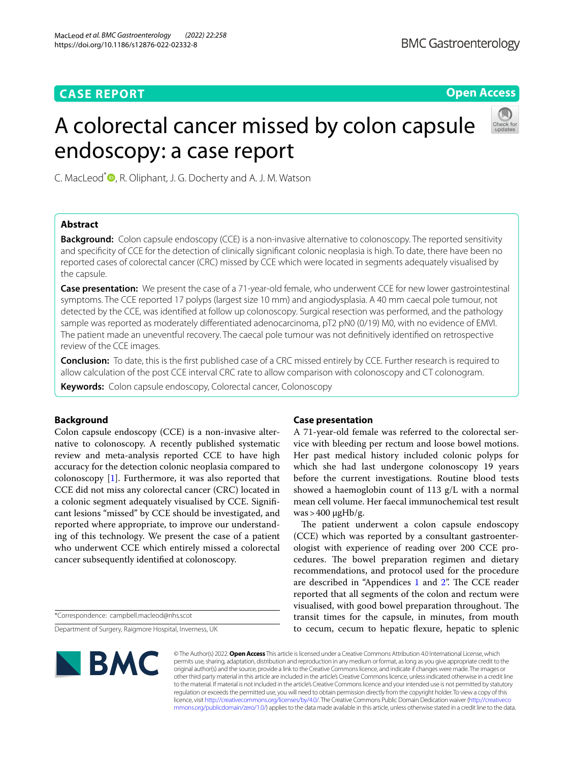# **CASE REPORT**

# **Open Access**

# A colorectal cancer missed by colon capsule endoscopy: a case report



C. MacLeod<sup>[\\*](http://orcid.org/0000-0001-9161-0661)</sup> **D**, R. Oliphant, J. G. Docherty and A. J. M. Watson

# **Abstract**

**Background:** Colon capsule endoscopy (CCE) is a non-invasive alternative to colonoscopy. The reported sensitivity and specifcity of CCE for the detection of clinically signifcant colonic neoplasia is high. To date, there have been no reported cases of colorectal cancer (CRC) missed by CCE which were located in segments adequately visualised by the capsule.

**Case presentation:** We present the case of a 71-year-old female, who underwent CCE for new lower gastrointestinal symptoms. The CCE reported 17 polyps (largest size 10 mm) and angiodysplasia. A 40 mm caecal pole tumour, not detected by the CCE, was identifed at follow up colonoscopy. Surgical resection was performed, and the pathology sample was reported as moderately diferentiated adenocarcinoma, pT2 pN0 (0/19) M0, with no evidence of EMVI. The patient made an uneventful recovery. The caecal pole tumour was not defnitively identifed on retrospective review of the CCE images.

**Conclusion:** To date, this is the frst published case of a CRC missed entirely by CCE. Further research is required to allow calculation of the post CCE interval CRC rate to allow comparison with colonoscopy and CT colonogram.

**Keywords:** Colon capsule endoscopy, Colorectal cancer, Colonoscopy

# **Background**

Colon capsule endoscopy (CCE) is a non-invasive alternative to colonoscopy. A recently published systematic review and meta-analysis reported CCE to have high accuracy for the detection colonic neoplasia compared to colonoscopy [\[1](#page-3-0)]. Furthermore, it was also reported that CCE did not miss any colorectal cancer (CRC) located in a colonic segment adequately visualised by CCE. Signifcant lesions "missed" by CCE should be investigated, and reported where appropriate, to improve our understanding of this technology. We present the case of a patient who underwent CCE which entirely missed a colorectal cancer subsequently identifed at colonoscopy.

\*Correspondence: campbell.macleod@nhs.scot

Department of Surgery, Raigmore Hospital, Inverness, UK

# **Case presentation**

A 71-year-old female was referred to the colorectal service with bleeding per rectum and loose bowel motions. Her past medical history included colonic polyps for which she had last undergone colonoscopy 19 years before the current investigations. Routine blood tests showed a haemoglobin count of 113 g/L with a normal mean cell volume. Her faecal immunochemical test result  $was$  > 400  $\mu$ gHb/g.

The patient underwent a colon capsule endoscopy (CCE) which was reported by a consultant gastroenterologist with experience of reading over 200 CCE procedures. The bowel preparation regimen and dietary recommendations, and protocol used for the procedure are described in "Appendices  $1$  and  $2$ ". The CCE reader reported that all segments of the colon and rectum were visualised, with good bowel preparation throughout. The transit times for the capsule, in minutes, from mouth to cecum, cecum to hepatic fexure, hepatic to splenic



© The Author(s) 2022. **Open Access** This article is licensed under a Creative Commons Attribution 4.0 International License, which permits use, sharing, adaptation, distribution and reproduction in any medium or format, as long as you give appropriate credit to the original author(s) and the source, provide a link to the Creative Commons licence, and indicate if changes were made. The images or other third party material in this article are included in the article's Creative Commons licence, unless indicated otherwise in a credit line to the material. If material is not included in the article's Creative Commons licence and your intended use is not permitted by statutory regulation or exceeds the permitted use, you will need to obtain permission directly from the copyright holder. To view a copy of this licence, visit [http://creativecommons.org/licenses/by/4.0/.](http://creativecommons.org/licenses/by/4.0/) The Creative Commons Public Domain Dedication waiver ([http://creativeco](http://creativecommons.org/publicdomain/zero/1.0/) [mmons.org/publicdomain/zero/1.0/](http://creativecommons.org/publicdomain/zero/1.0/)) applies to the data made available in this article, unless otherwise stated in a credit line to the data.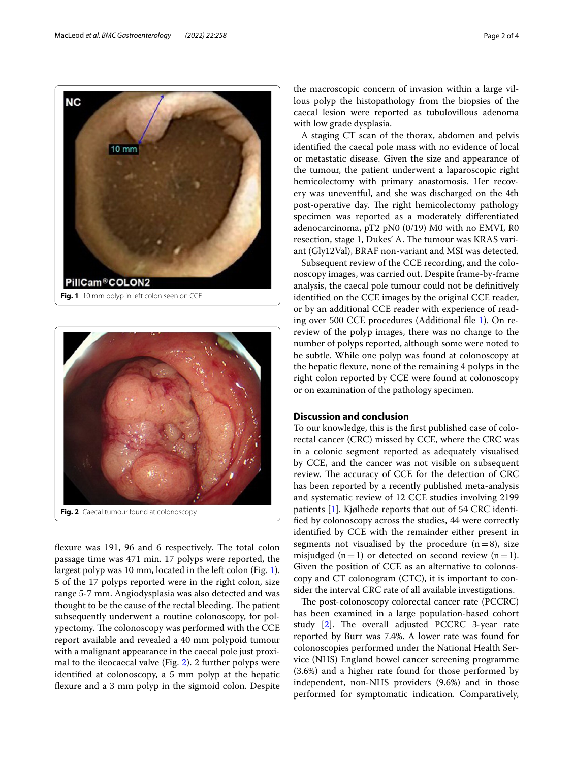

<span id="page-1-0"></span>

<span id="page-1-1"></span>flexure was 191, 96 and 6 respectively. The total colon passage time was 471 min. 17 polyps were reported, the largest polyp was 10 mm, located in the left colon (Fig. [1](#page-1-0)). 5 of the 17 polyps reported were in the right colon, size range 5-7 mm. Angiodysplasia was also detected and was thought to be the cause of the rectal bleeding. The patient subsequently underwent a routine colonoscopy, for polypectomy. The colonoscopy was performed with the CCE report available and revealed a 40 mm polypoid tumour with a malignant appearance in the caecal pole just proximal to the ileocaecal valve (Fig. [2\)](#page-1-1). 2 further polyps were identifed at colonoscopy, a 5 mm polyp at the hepatic fexure and a 3 mm polyp in the sigmoid colon. Despite the macroscopic concern of invasion within a large villous polyp the histopathology from the biopsies of the caecal lesion were reported as tubulovillous adenoma with low grade dysplasia.

A staging CT scan of the thorax, abdomen and pelvis identifed the caecal pole mass with no evidence of local or metastatic disease. Given the size and appearance of the tumour, the patient underwent a laparoscopic right hemicolectomy with primary anastomosis. Her recovery was uneventful, and she was discharged on the 4th post-operative day. The right hemicolectomy pathology specimen was reported as a moderately diferentiated adenocarcinoma, pT2 pN0 (0/19) M0 with no EMVI, R0 resection, stage 1, Dukes' A. The tumour was KRAS variant (Gly12Val), BRAF non-variant and MSI was detected.

Subsequent review of the CCE recording, and the colonoscopy images, was carried out. Despite frame-by-frame analysis, the caecal pole tumour could not be defnitively identifed on the CCE images by the original CCE reader, or by an additional CCE reader with experience of reading over 500 CCE procedures (Additional fle [1\)](#page-2-2). On rereview of the polyp images, there was no change to the number of polyps reported, although some were noted to be subtle. While one polyp was found at colonoscopy at the hepatic fexure, none of the remaining 4 polyps in the right colon reported by CCE were found at colonoscopy or on examination of the pathology specimen.

## **Discussion and conclusion**

To our knowledge, this is the frst published case of colorectal cancer (CRC) missed by CCE, where the CRC was in a colonic segment reported as adequately visualised by CCE, and the cancer was not visible on subsequent review. The accuracy of CCE for the detection of CRC has been reported by a recently published meta-analysis and systematic review of 12 CCE studies involving 2199 patients [\[1](#page-3-0)]. Kjølhede reports that out of 54 CRC identifed by colonoscopy across the studies, 44 were correctly identifed by CCE with the remainder either present in segments not visualised by the procedure  $(n=8)$ , size misjudged ( $n=1$ ) or detected on second review ( $n=1$ ). Given the position of CCE as an alternative to colonoscopy and CT colonogram (CTC), it is important to consider the interval CRC rate of all available investigations.

The post-colonoscopy colorectal cancer rate (PCCRC) has been examined in a large population-based cohort study  $[2]$  $[2]$ . The overall adjusted PCCRC 3-year rate reported by Burr was 7.4%. A lower rate was found for colonoscopies performed under the National Health Service (NHS) England bowel cancer screening programme (3.6%) and a higher rate found for those performed by independent, non-NHS providers (9.6%) and in those performed for symptomatic indication. Comparatively,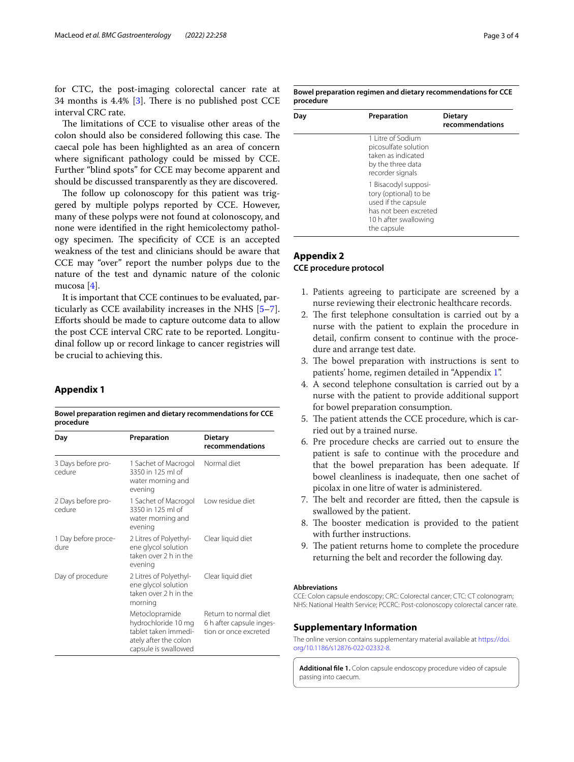for CTC, the post-imaging colorectal cancer rate at 34 months is  $4.4\%$  [[3\]](#page-3-2). There is no published post CCE interval CRC rate.

The limitations of CCE to visualise other areas of the colon should also be considered following this case. The caecal pole has been highlighted as an area of concern where signifcant pathology could be missed by CCE. Further "blind spots" for CCE may become apparent and should be discussed transparently as they are discovered.

The follow up colonoscopy for this patient was triggered by multiple polyps reported by CCE. However, many of these polyps were not found at colonoscopy, and none were identifed in the right hemicolectomy pathology specimen. The specificity of CCE is an accepted weakness of the test and clinicians should be aware that CCE may "over" report the number polyps due to the nature of the test and dynamic nature of the colonic mucosa [\[4](#page-3-3)].

It is important that CCE continues to be evaluated, particularly as CCE availability increases in the NHS [\[5](#page-3-4)[–7](#page-3-5)]. Eforts should be made to capture outcome data to allow the post CCE interval CRC rate to be reported. Longitudinal follow up or record linkage to cancer registries will be crucial to achieving this.

## <span id="page-2-0"></span>**Appendix 1**

**Bowel preparation regimen and dietary recommendations for CCE procedure**

| Day                                           | Preparation                                                                                  | <b>Dietary</b><br>recommendations                                          |
|-----------------------------------------------|----------------------------------------------------------------------------------------------|----------------------------------------------------------------------------|
| 3 Days before pro-<br>cedure                  | 1 Sachet of Macrogol<br>3350 in 125 ml of<br>water morning and<br>evening                    | Normal diet                                                                |
| 2 Days before pro-<br>cedure                  | 1 Sachet of Macrogol<br>3350 in 125 ml of<br>water morning and<br>evening                    | Low residue diet                                                           |
| 1 Day before proce-<br>dure                   | 2 Litres of Polyethyl-<br>ene glycol solution<br>taken over 2 h in the<br>evening            | Clear liquid diet                                                          |
| Day of procedure<br>morning<br>Metoclopramide | 2 Litres of Polyethyl-<br>ene glycol solution<br>taken over 2 h in the                       | Clear liquid diet                                                          |
|                                               | hydrochloride 10 mg<br>tablet taken immedi-<br>ately after the colon<br>capsule is swallowed | Return to normal diet<br>6 h after capsule inges-<br>tion or once excreted |

<span id="page-2-1"></span>**Bowel preparation regimen and dietary recommendations for CCE procedure**

| Day | Preparation                                                                                                                           | <b>Dietary</b><br>recommendations |
|-----|---------------------------------------------------------------------------------------------------------------------------------------|-----------------------------------|
|     | 1 Litre of Sodium<br>picosulfate solution<br>taken as indicated<br>by the three data<br>recorder signals                              |                                   |
|     | 1 Bisacodyl supposi-<br>tory (optional) to be<br>used if the capsule<br>has not been excreted<br>10 h after swallowing<br>the capsule |                                   |

# **Appendix 2 CCE procedure protocol**

- 1. Patients agreeing to participate are screened by a nurse reviewing their electronic healthcare records.
- 2. The first telephone consultation is carried out by a nurse with the patient to explain the procedure in detail, confrm consent to continue with the procedure and arrange test date.
- 3. The bowel preparation with instructions is sent to patients' home, regimen detailed in "Appendix [1](#page-2-0)".
- 4. A second telephone consultation is carried out by a nurse with the patient to provide additional support for bowel preparation consumption.
- 5. The patient attends the CCE procedure, which is carried out by a trained nurse.
- 6. Pre procedure checks are carried out to ensure the patient is safe to continue with the procedure and that the bowel preparation has been adequate. If bowel cleanliness is inadequate, then one sachet of picolax in one litre of water is administered.
- 7. The belt and recorder are fitted, then the capsule is swallowed by the patient.
- 8. The booster medication is provided to the patient with further instructions.
- 9. The patient returns home to complete the procedure returning the belt and recorder the following day.

#### **Abbreviations**

CCE: Colon capsule endoscopy; CRC: Colorectal cancer; CTC: CT colonogram; NHS: National Health Service; PCCRC: Post-colonoscopy colorectal cancer rate.

## **Supplementary Information**

The online version contains supplementary material available at [https://doi.](https://doi.org/10.1186/s12876-022-02332-8) [org/10.1186/s12876-022-02332-8](https://doi.org/10.1186/s12876-022-02332-8).

<span id="page-2-2"></span>**Additional fle 1.** Colon capsule endoscopy procedure video of capsule passing into caecum.